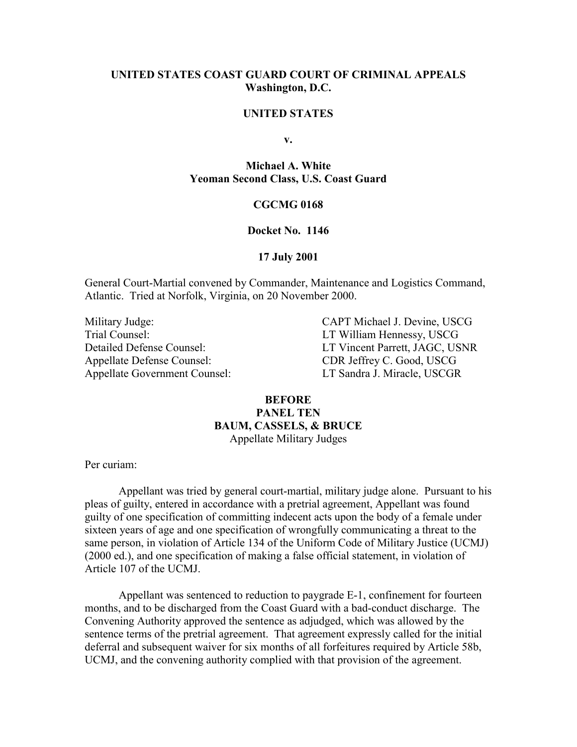## **UNITED STATES COAST GUARD COURT OF CRIMINAL APPEALS Washington, D.C.**

## **UNITED STATES**

**v.**

**Michael A. White Yeoman Second Class, U.S. Coast Guard**

### **CGCMG 0168**

#### **Docket No. 1146**

#### **17 July 2001**

General Court-Martial convened by Commander, Maintenance and Logistics Command, Atlantic. Tried at Norfolk, Virginia, on 20 November 2000.

Appellate Defense Counsel: CDR Jeffrey C. Good, USCG Appellate Government Counsel: LT Sandra J. Miracle, USCGR

Military Judge: CAPT Michael J. Devine, USCG<br>Trial Counsel: LT William Hennessy. USCG LT William Hennessy, USCG Detailed Defense Counsel: LT Vincent Parrett, JAGC, USNR

# **BEFORE PANEL TEN BAUM, CASSELS, & BRUCE** Appellate Military Judges

Per curiam:

Appellant was tried by general court-martial, military judge alone. Pursuant to his pleas of guilty, entered in accordance with a pretrial agreement, Appellant was found guilty of one specification of committing indecent acts upon the body of a female under sixteen years of age and one specification of wrongfully communicating a threat to the same person, in violation of Article 134 of the Uniform Code of Military Justice (UCMJ) (2000 ed.), and one specification of making a false official statement, in violation of Article 107 of the UCMJ.

Appellant was sentenced to reduction to paygrade E-1, confinement for fourteen months, and to be discharged from the Coast Guard with a bad-conduct discharge. The Convening Authority approved the sentence as adjudged, which was allowed by the sentence terms of the pretrial agreement. That agreement expressly called for the initial deferral and subsequent waiver for six months of all forfeitures required by Article 58b, UCMJ, and the convening authority complied with that provision of the agreement.